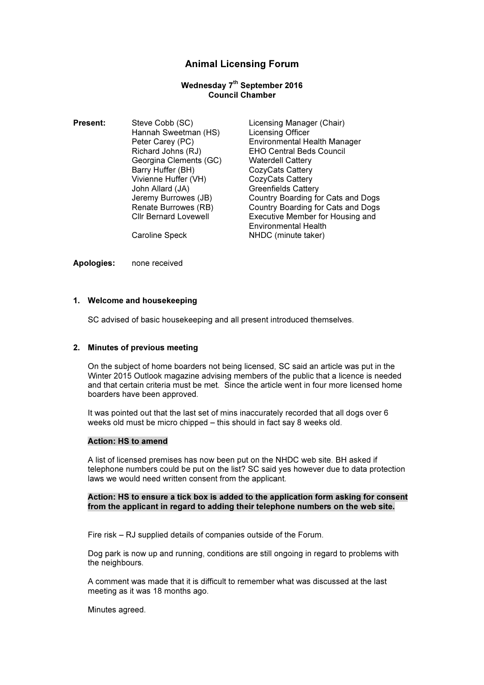# Animal Licensing Forum

## Wednesday 7<sup>th</sup> September 2016 Council Chamber

**Present:** Steve Cobb (SC) Licensing Manager (Chair) Hannah Sweetman (HS) Licensing Officer Peter Carey (PC)<br>
Richard Johns (RJ) EHO Central Beds Council<br>
EHO Central Beds Council **EHO Central Beds Council** Georgina Clements (GC) Waterdell Cattery Barry Huffer (BH) CozyCats Cattery<br>
Vivienne Huffer (VH) CozyCats Cattery Vivienne Huffer (VH) John Allard (JA) Greenfields Cattery Jeremy Burrowes (JB) Country Boarding for Cats and Dogs Renate Burrowes (RB) Country Boarding for Cats and Dogs Cllr Bernard Lovewell Executive Member for Housing and Environmental Health<br>Caroline Speck MHDC (minute taker)

Apologies: none received

## 1. Welcome and housekeeping

SC advised of basic housekeeping and all present introduced themselves.

## 2. Minutes of previous meeting

On the subject of home boarders not being licensed, SC said an article was put in the Winter 2015 Outlook magazine advising members of the public that a licence is needed and that certain criteria must be met. Since the article went in four more licensed home boarders have been approved.

NHDC (minute taker)

It was pointed out that the last set of mins inaccurately recorded that all dogs over 6 weeks old must be micro chipped – this should in fact say 8 weeks old.

## Action: HS to amend

A list of licensed premises has now been put on the NHDC web site. BH asked if telephone numbers could be put on the list? SC said yes however due to data protection laws we would need written consent from the applicant.

## Action: HS to ensure a tick box is added to the application form asking for consent from the applicant in regard to adding their telephone numbers on the web site.

Fire risk – RJ supplied details of companies outside of the Forum.

Dog park is now up and running, conditions are still ongoing in regard to problems with the neighbours.

A comment was made that it is difficult to remember what was discussed at the last meeting as it was 18 months ago.

Minutes agreed.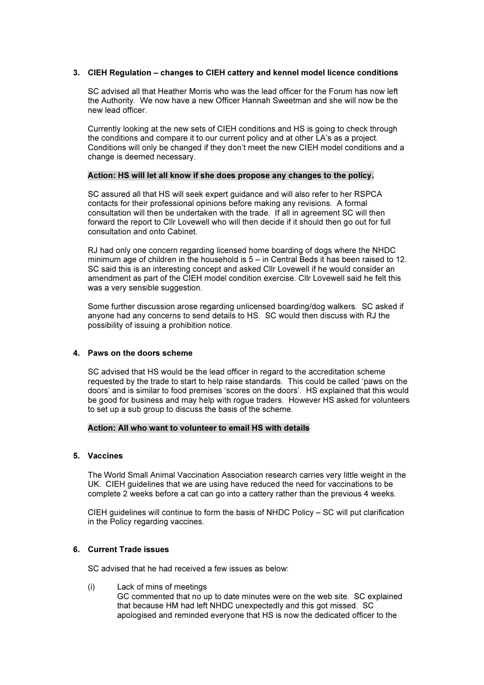# 3. CIEH Regulation – changes to CIEH cattery and kennel model licence conditions

SC advised all that Heather Morris who was the lead officer for the Forum has now left the Authority. We now have a new Officer Hannah Sweetman and she will now be the new lead officer.

Currently looking at the new sets of CIEH conditions and HS is going to check through the conditions and compare it to our current policy and at other LA's as a project. Conditions will only be changed if they don't meet the new CIEH model conditions and a change is deemed necessary.

## Action: HS will let all know if she does propose any changes to the policy.

SC assured all that HS will seek expert guidance and will also refer to her RSPCA contacts for their professional opinions before making any revisions. A formal consultation will then be undertaken with the trade. If all in agreement SC will then forward the report to Cllr Lovewell who will then decide if it should then go out for full consultation and onto Cabinet.

RJ had only one concern regarding licensed home boarding of dogs where the NHDC minimum age of children in the household is 5 – in Central Beds it has been raised to 12. SC said this is an interesting concept and asked Cllr Lovewell if he would consider an amendment as part of the CIEH model condition exercise. Cllr Lovewell said he felt this was a very sensible suggestion.

Some further discussion arose regarding unlicensed boarding/dog walkers. SC asked if anyone had any concerns to send details to HS. SC would then discuss with RJ the possibility of issuing a prohibition notice.

# 4. Paws on the doors scheme

SC advised that HS would be the lead officer in regard to the accreditation scheme requested by the trade to start to help raise standards. This could be called 'paws on the doors' and is similar to food premises 'scores on the doors'. HS explained that this would be good for business and may help with rogue traders. However HS asked for volunteers to set up a sub group to discuss the basis of the scheme.

## Action: All who want to volunteer to email HS with details

# 5. Vaccines

The World Small Animal Vaccination Association research carries very little weight in the UK. CIEH guidelines that we are using have reduced the need for vaccinations to be complete 2 weeks before a cat can go into a cattery rather than the previous 4 weeks.

CIEH guidelines will continue to form the basis of NHDC Policy – SC will put clarification in the Policy regarding vaccines.

# 6. Current Trade issues

SC advised that he had received a few issues as below:

(i) Lack of mins of meetings GC commented that no up to date minutes were on the web site. SC explained that because HM had left NHDC unexpectedly and this got missed. SC apologised and reminded everyone that HS is now the dedicated officer to the